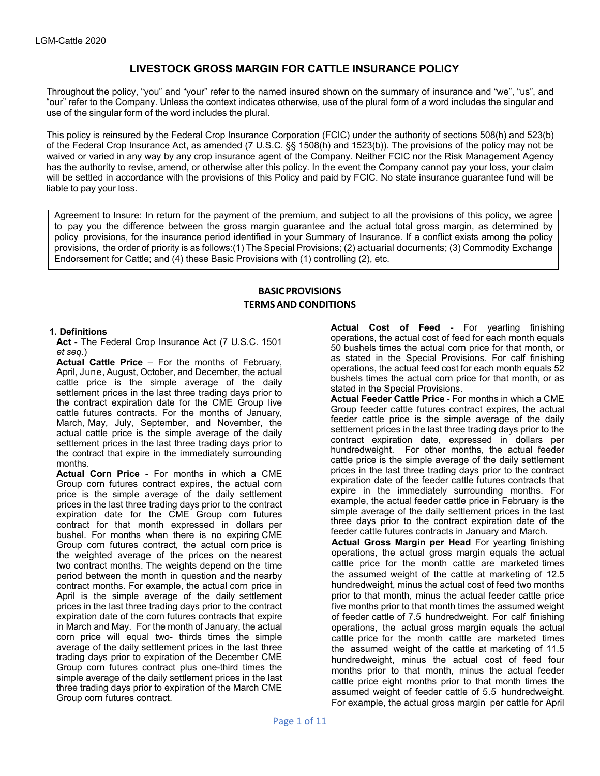# **LIVESTOCK GROSS MARGIN FOR CATTLE INSURANCE POLICY**

Throughout the policy, "you" and "your" refer to the named insured shown on the summary of insurance and "we", "us", and "our" refer to the Company. Unless the context indicates otherwise, use of the plural form of a word includes the singular and use of the singular form of the word includes the plural.

This policy is reinsured by the Federal Crop Insurance Corporation (FCIC) under the authority of sections 508(h) and 523(b) of the Federal Crop Insurance Act, as amended (7 U.S.C. §§ 1508(h) and 1523(b)). The provisions of the policy may not be waived or varied in any way by any crop insurance agent of the Company. Neither FCIC nor the Risk Management Agency has the authority to revise, amend, or otherwise alter this policy. In the event the Company cannot pay your loss, your claim will be settled in accordance with the provisions of this Policy and paid by FCIC. No state insurance guarantee fund will be liable to pay your loss.

Agreement to Insure: In return for the payment of the premium, and subject to all the provisions of this policy, we agree to pay you the difference between the gross margin guarantee and the actual total gross margin, as determined by policy provisions, for the insurance period identified in your Summary of Insurance. If a conflict exists among the policy provisions, the order of priority is as follows:(1) The Special Provisions; (2) actuarial documents; (3) Commodity Exchange Endorsement for Cattle; and (4) these Basic Provisions with (1) controlling (2), etc.

# **BASIC PROVISIONS TERMS AND CONDITIONS**

## **1. Definitions**

**Act** - The Federal Crop Insurance Act (7 U.S.C. 1501 *et seq.*)

**Actual Cattle Price** – For the months of February, April, June, August, October, and December, the actual cattle price is the simple average of the daily settlement prices in the last three trading days prior to the contract expiration date for the CME Group live cattle futures contracts. For the months of January, March, May, July, September, and November, the actual cattle price is the simple average of the daily settlement prices in the last three trading days prior to the contract that expire in the immediately surrounding months.

**Actual Corn Price** - For months in which a CME Group corn futures contract expires, the actual corn price is the simple average of the daily settlement prices in the last three trading days prior to the contract expiration date for the CME Group corn futures contract for that month expressed in dollars per bushel. For months when there is no expiring CME Group corn futures contract, the actual corn price is the weighted average of the prices on the nearest two contract months. The weights depend on the time period between the month in question and the nearby contract months. For example, the actual corn price in April is the simple average of the daily settlement prices in the last three trading days prior to the contract expiration date of the corn futures contracts that expire in March and May. For the month of January, the actual corn price will equal two- thirds times the simple average of the daily settlement prices in the last three trading days prior to expiration of the December CME Group corn futures contract plus one-third times the simple average of the daily settlement prices in the last three trading days prior to expiration of the March CME Group corn futures contract.

**Actual Cost of Feed** - For yearling finishing operations, the actual cost of feed for each month equals 50 bushels times the actual corn price for that month, or as stated in the Special Provisions. For calf finishing operations, the actual feed cost for each month equals 52 bushels times the actual corn price for that month, or as stated in the Special Provisions.

**Actual Feeder Cattle Price** - For months in which a CME Group feeder cattle futures contract expires, the actual feeder cattle price is the simple average of the daily settlement prices in the last three trading days prior to the contract expiration date, expressed in dollars per hundredweight. For other months, the actual feeder cattle price is the simple average of the daily settlement prices in the last three trading days prior to the contract expiration date of the feeder cattle futures contracts that expire in the immediately surrounding months. For example, the actual feeder cattle price in February is the simple average of the daily settlement prices in the last three days prior to the contract expiration date of the feeder cattle futures contracts in January and March.

**Actual Gross Margin per Head** For yearling finishing operations, the actual gross margin equals the actual cattle price for the month cattle are marketed times the assumed weight of the cattle at marketing of 12.5 hundredweight, minus the actual cost of feed two months prior to that month, minus the actual feeder cattle price five months prior to that month times the assumed weight of feeder cattle of 7.5 hundredweight. For calf finishing operations, the actual gross margin equals the actual cattle price for the month cattle are marketed times the assumed weight of the cattle at marketing of 11.5 hundredweight, minus the actual cost of feed four months prior to that month, minus the actual feeder cattle price eight months prior to that month times the assumed weight of feeder cattle of 5.5 hundredweight. For example, the actual gross margin per cattle for April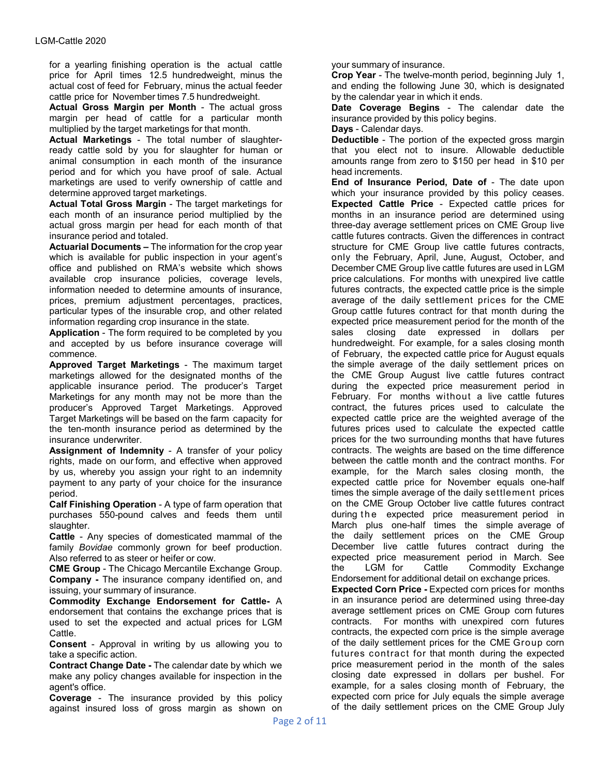for a yearling finishing operation is the actual cattle price for April times 12.5 hundredweight, minus the actual cost of feed for February, minus the actual feeder cattle price for November times 7.5 hundredweight.

**Actual Gross Margin per Month** - The actual gross margin per head of cattle for a particular month multiplied by the target marketings for that month.

**Actual Marketings** - The total number of slaughterready cattle sold by you for slaughter for human or animal consumption in each month of the insurance period and for which you have proof of sale. Actual marketings are used to verify ownership of cattle and determine approved target marketings.

**Actual Total Gross Margin** - The target marketings for each month of an insurance period multiplied by the actual gross margin per head for each month of that insurance period and totaled.

**Actuarial Documents –** The information for the crop year which is available for public inspection in your agent's office and published on RMA's website which shows available crop insurance policies, coverage levels, information needed to determine amounts of insurance, prices, premium adjustment percentages, practices, particular types of the insurable crop, and other related information regarding crop insurance in the state.

**Application** - The form required to be completed by you and accepted by us before insurance coverage will commence.

**Approved Target Marketings** - The maximum target marketings allowed for the designated months of the applicable insurance period. The producer's Target Marketings for any month may not be more than the producer's Approved Target Marketings. Approved Target Marketings will be based on the farm capacity for the ten-month insurance period as determined by the insurance underwriter.

**Assignment of Indemnity** - A transfer of your policy rights, made on our form, and effective when approved by us, whereby you assign your right to an indemnity payment to any party of your choice for the insurance period.

**Calf Finishing Operation** - A type of farm operation that purchases 550-pound calves and feeds them until slaughter.

**Cattle** - Any species of domesticated mammal of the family *Bovidae* commonly grown for beef production. Also referred to as steer or heifer or cow.

**CME Group** - The Chicago Mercantile Exchange Group. **Company -** The insurance company identified on, and issuing, your summary of insurance.

**Commodity Exchange Endorsement for Cattle-** A endorsement that contains the exchange prices that is used to set the expected and actual prices for LGM Cattle.

**Consent** - Approval in writing by us allowing you to take a specific action.

**Contract Change Date -** The calendar date by which we make any policy changes available for inspection in the agent's office.

**Coverage** - The insurance provided by this policy against insured loss of gross margin as shown on

your summary of insurance.

**Crop Year** - The twelve-month period, beginning July 1, and ending the following June 30, which is designated by the calendar year in which it ends.

**Date Coverage Begins** - The calendar date the insurance provided by this policy begins.

**Days** - Calendar days.

**Deductible** - The portion of the expected gross margin that you elect not to insure. Allowable deductible amounts range from zero to \$150 per head in \$10 per head increments.

**End of Insurance Period, Date of** - The date upon which your insurance provided by this policy ceases. **Expected Cattle Price** - Expected cattle prices for months in an insurance period are determined using three-day average settlement prices on CME Group live cattle futures contracts. Given the differences in contract structure for CME Group live cattle futures contracts, only the February, April, June, August, October, and December CME Group live cattle futures are used in LGM price calculations. For months with unexpired live cattle futures contracts, the expected cattle price is the simple average of the daily settlement prices for the CME Group cattle futures contract for that month during the expected price measurement period for the month of the sales closing date expressed in dollars per hundredweight. For example, for a sales closing month of February, the expected cattle price for August equals the simple average of the daily settlement prices on the CME Group August live cattle futures contract during the expected price measurement period in February. For months without a live cattle futures contract, the futures prices used to calculate the expected cattle price are the weighted average of the futures prices used to calculate the expected cattle prices for the two surrounding months that have futures contracts. The weights are based on the time difference between the cattle month and the contract months. For example, for the March sales closing month, the expected cattle price for November equals one-half times the simple average of the daily settlement prices on the CME Group October live cattle futures contract during the expected price measurement period in March plus one-half times the simple average of the daily settlement prices on the CME Group December live cattle futures contract during the expected price measurement period in March. See the LGM for Cattle Commodity Exchange Endorsement for additional detail on exchange prices.

**Expected Corn Price -** Expected corn prices for months in an insurance period are determined using three-day average settlement prices on CME Group corn futures contracts. For months with unexpired corn futures contracts, the expected corn price is the simple average of the daily settlement prices for the CME Group corn futures contract for that month during the expected price measurement period in the month of the sales closing date expressed in dollars per bushel. For example, for a sales closing month of February, the expected corn price for July equals the simple average of the daily settlement prices on the CME Group July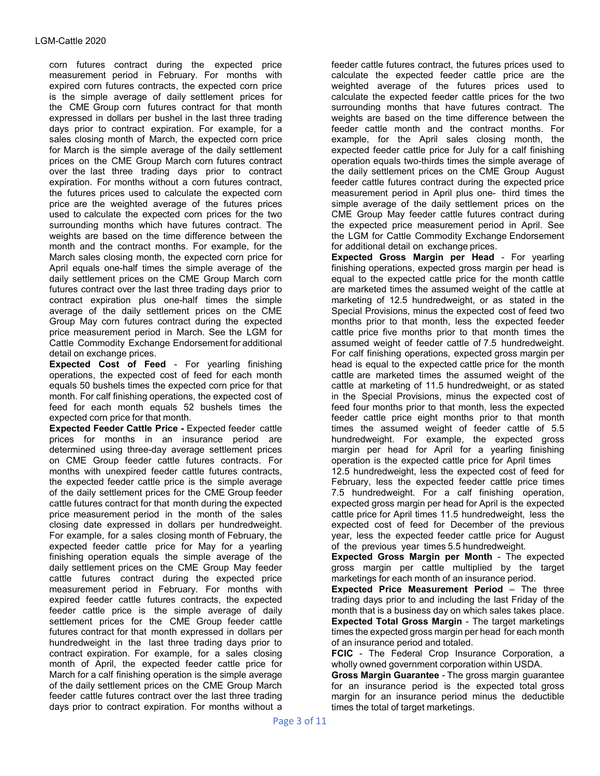corn futures contract during the expected price measurement period in February. For months with expired corn futures contracts, the expected corn price is the simple average of daily settlement prices for the CME Group corn futures contract for that month expressed in dollars per bushel in the last three trading days prior to contract expiration. For example, for a sales closing month of March, the expected corn price for March is the simple average of the daily settlement prices on the CME Group March corn futures contract over the last three trading days prior to contract expiration. For months without a corn futures contract, the futures prices used to calculate the expected corn price are the weighted average of the futures prices used to calculate the expected corn prices for the two surrounding months which have futures contract. The weights are based on the time difference between the month and the contract months. For example, for the March sales closing month, the expected corn price for April equals one-half times the simple average of the daily settlement prices on the CME Group March corn futures contract over the last three trading days prior to contract expiration plus one-half times the simple average of the daily settlement prices on the CME Group May corn futures contract during the expected price measurement period in March. See the LGM for Cattle Commodity Exchange Endorsement for additional detail on exchange prices.

**Expected Cost of Feed** - For yearling finishing operations, the expected cost of feed for each month equals 50 bushels times the expected corn price for that month. For calf finishing operations, the expected cost of feed for each month equals 52 bushels times the expected corn price for that month.

**Expected Feeder Cattle Price -** Expected feeder cattle prices for months in an insurance period are determined using three-day average settlement prices on CME Group feeder cattle futures contracts. For months with unexpired feeder cattle futures contracts, the expected feeder cattle price is the simple average of the daily settlement prices for the CME Group feeder cattle futures contract for that month during the expected price measurement period in the month of the sales closing date expressed in dollars per hundredweight. For example, for a sales closing month of February, the expected feeder cattle price for May for a yearling finishing operation equals the simple average of the daily settlement prices on the CME Group May feeder cattle futures contract during the expected price measurement period in February. For months with expired feeder cattle futures contracts, the expected feeder cattle price is the simple average of daily settlement prices for the CME Group feeder cattle futures contract for that month expressed in dollars per hundredweight in the last three trading days prior to contract expiration. For example, for a sales closing month of April, the expected feeder cattle price for March for a calf finishing operation is the simple average of the daily settlement prices on the CME Group March feeder cattle futures contract over the last three trading days prior to contract expiration. For months without a

feeder cattle futures contract, the futures prices used to calculate the expected feeder cattle price are the weighted average of the futures prices used to calculate the expected feeder cattle prices for the two surrounding months that have futures contract. The weights are based on the time difference between the feeder cattle month and the contract months. For example, for the April sales closing month, the expected feeder cattle price for July for a calf finishing operation equals two-thirds times the simple average of the daily settlement prices on the CME Group August feeder cattle futures contract during the expected price measurement period in April plus one- third times the simple average of the daily settlement prices on the CME Group May feeder cattle futures contract during the expected price measurement period in April. See the LGM for Cattle Commodity Exchange Endorsement for additional detail on exchange prices.

**Expected Gross Margin per Head** - For yearling finishing operations, expected gross margin per head is equal to the expected cattle price for the month cattle are marketed times the assumed weight of the cattle at marketing of 12.5 hundredweight, or as stated in the Special Provisions, minus the expected cost of feed two months prior to that month, less the expected feeder cattle price five months prior to that month times the assumed weight of feeder cattle of 7.5 hundredweight. For calf finishing operations, expected gross margin per head is equal to the expected cattle price for the month cattle are marketed times the assumed weight of the cattle at marketing of 11.5 hundredweight, or as stated in the Special Provisions, minus the expected cost of feed four months prior to that month, less the expected feeder cattle price eight months prior to that month times the assumed weight of feeder cattle of 5.5 hundredweight. For example, the expected gross margin per head for April for a yearling finishing operation is the expected cattle price for April times 12.5 hundredweight, less the expected cost of feed for February, less the expected feeder cattle price times 7.5 hundredweight. For a calf finishing operation, expected gross margin per head for April is the expected cattle price for April times 11.5 hundredweight, less the expected cost of feed for December of the previous year, less the expected feeder cattle price for August of the previous year times 5.5 hundredweight.

**Expected Gross Margin per Month** - The expected gross margin per cattle multiplied by the target marketings for each month of an insurance period.

**Expected Price Measurement Period** – The three trading days prior to and including the last Friday of the month that is a business day on which sales takes place. **Expected Total Gross Margin** - The target marketings times the expected gross margin per head for each month of an insurance period and totaled.

**FCIC** - The Federal Crop Insurance Corporation, a wholly owned government corporation within USDA.

**Gross Margin Guarantee** - The gross margin guarantee for an insurance period is the expected total gross margin for an insurance period minus the deductible times the total of target marketings.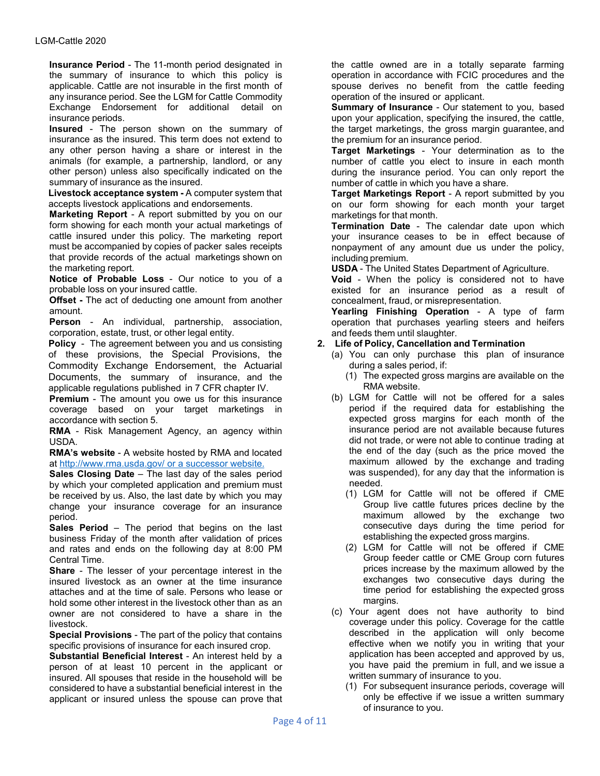**Insurance Period** - The 11-month period designated in the summary of insurance to which this policy is applicable. Cattle are not insurable in the first month of any insurance period. See the LGM for Cattle Commodity Exchange Endorsement for additional detail on insurance periods.

**Insured** - The person shown on the summary of insurance as the insured. This term does not extend to any other person having a share or interest in the animals (for example, a partnership, landlord, or any other person) unless also specifically indicated on the summary of insurance as the insured.

**Livestock acceptance system -** A computer system that accepts livestock applications and endorsements.

**Marketing Report** - A report submitted by you on our form showing for each month your actual marketings of cattle insured under this policy. The marketing report must be accompanied by copies of packer sales receipts that provide records of the actual marketings shown on the marketing report.

**Notice of Probable Loss** - Our notice to you of a probable loss on your insured cattle.

**Offset -** The act of deducting one amount from another amount.

**Person** - An individual, partnership, association, corporation, estate, trust, or other legal entity.

**Policy** - The agreement between you and us consisting of these provisions, the Special Provisions, the Commodity Exchange Endorsement, the Actuarial Documents, the summary of insurance, and the applicable regulations published in 7 CFR chapter IV.

**Premium** - The amount you owe us for this insurance coverage based on your target marketings in accordance with section 5.

**RMA** - Risk Management Agency, an agency within USDA.

**RMA's website** - A website hosted by RMA and located at [http://www.rma.usda.gov/ or a successor website.](http://www.rma.usda.gov/%20or%20a%20successor%20website.)

**Sales Closing Date** – The last day of the sales period by which your completed application and premium must be received by us. Also, the last date by which you may change your insurance coverage for an insurance period.

**Sales Period** – The period that begins on the last business Friday of the month after validation of prices and rates and ends on the following day at 8:00 PM Central Time.

**Share** - The lesser of your percentage interest in the insured livestock as an owner at the time insurance attaches and at the time of sale. Persons who lease or hold some other interest in the livestock other than as an owner are not considered to have a share in the livestock.

**Special Provisions** - The part of the policy that contains specific provisions of insurance for each insured crop.

**Substantial Beneficial Interest** - An interest held by a person of at least 10 percent in the applicant or insured. All spouses that reside in the household will be considered to have a substantial beneficial interest in the applicant or insured unless the spouse can prove that the cattle owned are in a totally separate farming operation in accordance with FCIC procedures and the spouse derives no benefit from the cattle feeding operation of the insured or applicant.

**Summary of Insurance** - Our statement to you, based upon your application, specifying the insured, the cattle, the target marketings, the gross margin guarantee, and the premium for an insurance period.

**Target Marketings** - Your determination as to the number of cattle you elect to insure in each month during the insurance period. You can only report the number of cattle in which you have a share.

**Target Marketings Report** - A report submitted by you on our form showing for each month your target marketings for that month.

**Termination Date** - The calendar date upon which your insurance ceases to be in effect because of nonpayment of any amount due us under the policy, including premium.

**USDA** - The United States Department of Agriculture.

**Void** - When the policy is considered not to have existed for an insurance period as a result of concealment, fraud, or misrepresentation.

**Yearling Finishing Operation** - A type of farm operation that purchases yearling steers and heifers and feeds them until slaughter.

## **2. Life of Policy, Cancellation and Termination**

- (a) You can only purchase this plan of insurance during a sales period, if:
	- (1) The expected gross margins are available on the RMA website.
- (b) LGM for Cattle will not be offered for a sales period if the required data for establishing the expected gross margins for each month of the insurance period are not available because futures did not trade, or were not able to continue trading at the end of the day (such as the price moved the maximum allowed by the exchange and trading was suspended), for any day that the information is needed.
	- (1) LGM for Cattle will not be offered if CME Group live cattle futures prices decline by the maximum allowed by the exchange two consecutive days during the time period for establishing the expected gross margins.
	- (2) LGM for Cattle will not be offered if CME Group feeder cattle or CME Group corn futures prices increase by the maximum allowed by the exchanges two consecutive days during the time period for establishing the expected gross margins.
- (c) Your agent does not have authority to bind coverage under this policy. Coverage for the cattle described in the application will only become effective when we notify you in writing that your application has been accepted and approved by us, you have paid the premium in full, and we issue a written summary of insurance to you.
	- (1) For subsequent insurance periods, coverage will only be effective if we issue a written summary of insurance to you.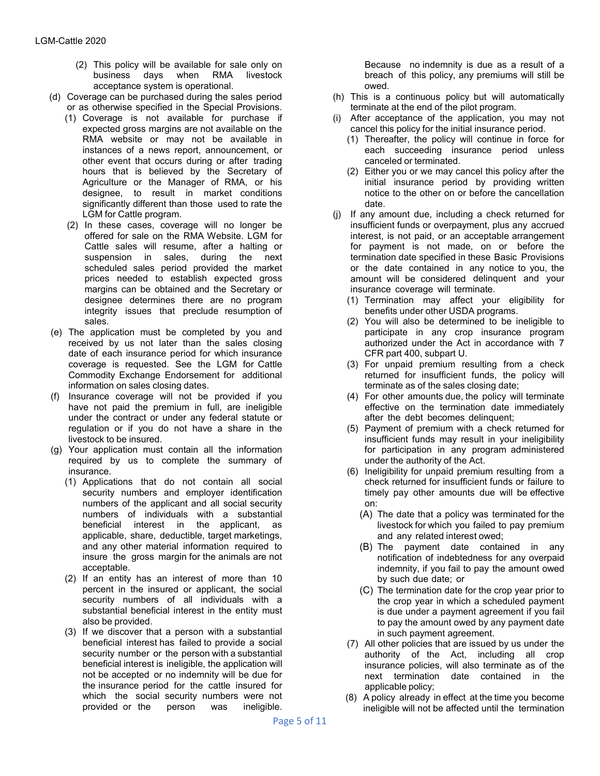- (2) This policy will be available for sale only on business days when RMA livestock acceptance system is operational.
- (d) Coverage can be purchased during the sales period or as otherwise specified in the Special Provisions.
	- (1) Coverage is not available for purchase if expected gross margins are not available on the RMA website or may not be available in instances of a news report, announcement, or other event that occurs during or after trading hours that is believed by the Secretary of Agriculture or the Manager of RMA, or his designee, to result in market conditions significantly different than those used to rate the LGM for Cattle program.
	- (2) In these cases, coverage will no longer be offered for sale on the RMA Website. LGM for Cattle sales will resume, after a halting or suspension in sales, during the next scheduled sales period provided the market prices needed to establish expected gross margins can be obtained and the Secretary or designee determines there are no program integrity issues that preclude resumption of sales.
- (e) The application must be completed by you and received by us not later than the sales closing date of each insurance period for which insurance coverage is requested. See the LGM for Cattle Commodity Exchange Endorsement for additional information on sales closing dates.
- (f) Insurance coverage will not be provided if you have not paid the premium in full, are ineligible under the contract or under any federal statute or regulation or if you do not have a share in the livestock to be insured.
- (g) Your application must contain all the information required by us to complete the summary of insurance.
	- (1) Applications that do not contain all social security numbers and employer identification numbers of the applicant and all social security numbers of individuals with a substantial beneficial interest in the applicant, as applicable, share, deductible, target marketings, and any other material information required to insure the gross margin for the animals are not acceptable.
	- (2) If an entity has an interest of more than 10 percent in the insured or applicant, the social security numbers of all individuals with a substantial beneficial interest in the entity must also be provided.
	- (3) If we discover that a person with a substantial beneficial interest has failed to provide a social security number or the person with a substantial beneficial interest is ineligible, the application will not be accepted or no indemnity will be due for the insurance period for the cattle insured for which the social security numbers were not provided or the person was ineligible.

Because no indemnity is due as a result of a breach of this policy, any premiums will still be owed.

- (h) This is a continuous policy but will automatically terminate at the end of the pilot program.
- (i) After acceptance of the application, you may not cancel this policy for the initial insurance period.
	- (1) Thereafter, the policy will continue in force for each succeeding insurance period unless canceled or terminated.
	- (2) Either you or we may cancel this policy after the initial insurance period by providing written notice to the other on or before the cancellation date.
- (j) If any amount due, including a check returned for insufficient funds or overpayment, plus any accrued interest, is not paid, or an acceptable arrangement for payment is not made, on or before the termination date specified in these Basic Provisions or the date contained in any notice to you, the amount will be considered delinquent and your insurance coverage will terminate.
	- (1) Termination may affect your eligibility for benefits under other USDA programs.
	- (2) You will also be determined to be ineligible to participate in any crop insurance program authorized under the Act in accordance with 7 CFR part 400, subpart U.
	- (3) For unpaid premium resulting from a check returned for insufficient funds, the policy will terminate as of the sales closing date;
	- (4) For other amounts due, the policy will terminate effective on the termination date immediately after the debt becomes delinquent;
	- (5) Payment of premium with a check returned for insufficient funds may result in your ineligibility for participation in any program administered under the authority of the Act.
	- (6) Ineligibility for unpaid premium resulting from a check returned for insufficient funds or failure to timely pay other amounts due will be effective on:
		- (A) The date that a policy was terminated for the livestock for which you failed to pay premium and any related interest owed;
		- (B) The payment date contained in any notification of indebtedness for any overpaid indemnity, if you fail to pay the amount owed by such due date; or
		- (C) The termination date for the crop year prior to the crop year in which a scheduled payment is due under a payment agreement if you fail to pay the amount owed by any payment date in such payment agreement.
	- (7) All other policies that are issued by us under the authority of the Act, including all crop insurance policies, will also terminate as of the next termination date contained in the applicable policy;
	- (8) A policy already in effect at the time you become ineligible will not be affected until the termination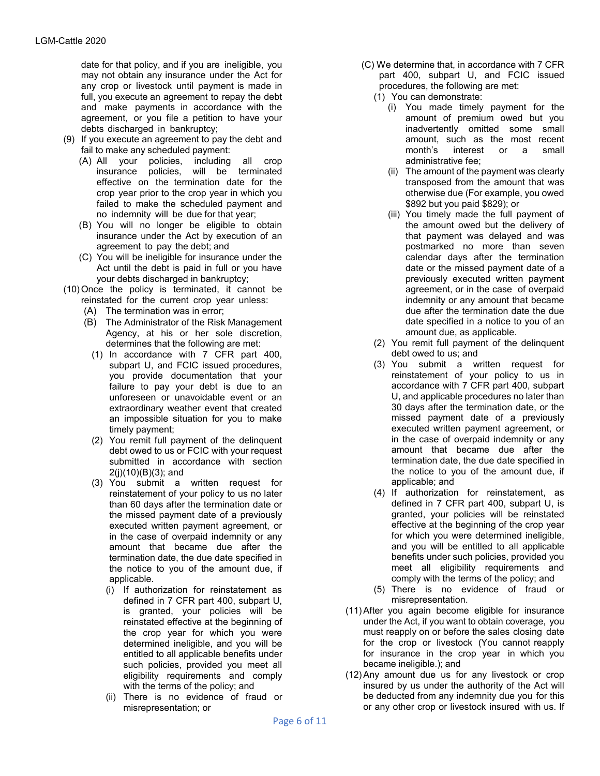date for that policy, and if you are ineligible, you may not obtain any insurance under the Act for any crop or livestock until payment is made in full, you execute an agreement to repay the debt and make payments in accordance with the agreement, or you file a petition to have your debts discharged in bankruptcy;

- (9) If you execute an agreement to pay the debt and fail to make any scheduled payment:
	- (A) All your policies, including all crop insurance policies, effective on the termination date for the crop year prior to the crop year in which you failed to make the scheduled payment and no indemnity will be due for that year;
	- (B) You will no longer be eligible to obtain insurance under the Act by execution of an agreement to pay the debt; and
	- (C) You will be ineligible for insurance under the Act until the debt is paid in full or you have your debts discharged in bankruptcy;
- (10)Once the policy is terminated, it cannot be
	- reinstated for the current crop year unless:
		- (A) The termination was in error;
		- (B) The Administrator of the Risk Management Agency, at his or her sole discretion, determines that the following are met:
			- (1) In accordance with 7 CFR part 400, subpart U, and FCIC issued procedures, you provide documentation that your failure to pay your debt is due to an unforeseen or unavoidable event or an extraordinary weather event that created an impossible situation for you to make timely payment;
			- (2) You remit full payment of the delinquent debt owed to us or FCIC with your request submitted in accordance with section 2(j)(10)(B)(3); and
			- (3) You submit a written request for reinstatement of your policy to us no later than 60 days after the termination date or the missed payment date of a previously executed written payment agreement, or in the case of overpaid indemnity or any amount that became due after the termination date, the due date specified in the notice to you of the amount due, if applicable.
				- (i) If authorization for reinstatement as defined in 7 CFR part 400, subpart U, is granted, your policies will be reinstated effective at the beginning of the crop year for which you were determined ineligible, and you will be entitled to all applicable benefits under such policies, provided you meet all eligibility requirements and comply with the terms of the policy; and
				- (ii) There is no evidence of fraud or misrepresentation; or
- (C) We determine that, in accordance with 7 CFR part 400, subpart U, and FCIC issued procedures, the following are met:
	- (1) You can demonstrate:
		- (i) You made timely payment for the amount of premium owed but you inadvertently omitted some small amount, such as the most recent month's interest or a small administrative fee;
		- (ii) The amount of the payment was clearly transposed from the amount that was otherwise due (For example, you owed \$892 but you paid \$829); or
		- (iii) You timely made the full payment of the amount owed but the delivery of that payment was delayed and was postmarked no more than seven calendar days after the termination date or the missed payment date of a previously executed written payment agreement, or in the case of overpaid indemnity or any amount that became due after the termination date the due date specified in a notice to you of an amount due, as applicable.
	- (2) You remit full payment of the delinquent debt owed to us; and
	- (3) You submit a written request for reinstatement of your policy to us in accordance with 7 CFR part 400, subpart U, and applicable procedures no later than 30 days after the termination date, or the missed payment date of a previously executed written payment agreement, or in the case of overpaid indemnity or any amount that became due after the termination date, the due date specified in the notice to you of the amount due, if applicable; and
	- (4) If authorization for reinstatement, as defined in 7 CFR part 400, subpart U, is granted, your policies will be reinstated effective at the beginning of the crop year for which you were determined ineligible, and you will be entitled to all applicable benefits under such policies, provided you meet all eligibility requirements and comply with the terms of the policy; and
	- (5) There is no evidence of fraud or misrepresentation.
- (11)After you again become eligible for insurance under the Act, if you want to obtain coverage, you must reapply on or before the sales closing date for the crop or livestock (You cannot reapply for insurance in the crop year in which you became ineligible.); and
- (12)Any amount due us for any livestock or crop insured by us under the authority of the Act will be deducted from any indemnity due you for this or any other crop or livestock insured with us. If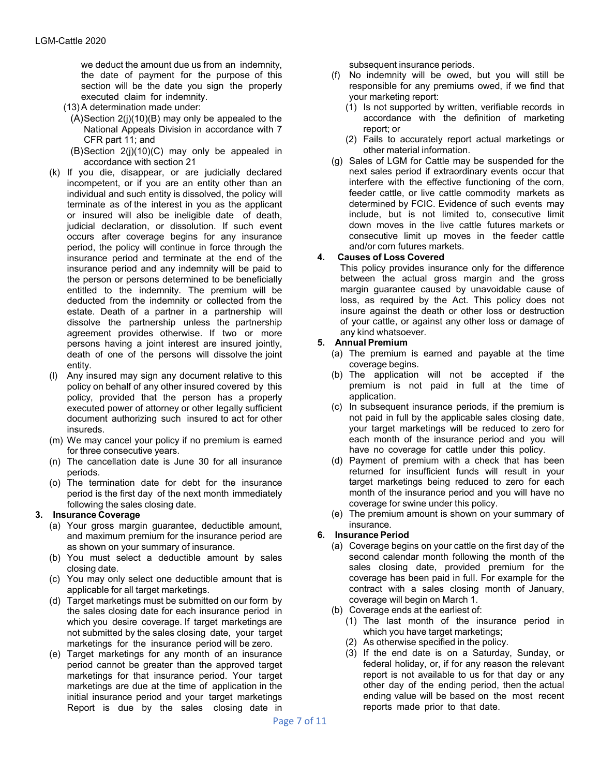we deduct the amount due us from an indemnity, the date of payment for the purpose of this section will be the date you sign the properly executed claim for indemnity.

- (13)A determination made under:
- $(A)$ Section 2(j) $(10)(B)$  may only be appealed to the National Appeals Division in accordance with 7 CFR part 11; and
- (B)Section 2(j)(10)(C) may only be appealed in accordance with section 21
- (k) If you die, disappear, or are judicially declared incompetent, or if you are an entity other than an individual and such entity is dissolved, the policy will terminate as of the interest in you as the applicant or insured will also be ineligible date of death, judicial declaration, or dissolution. If such event occurs after coverage begins for any insurance period, the policy will continue in force through the insurance period and terminate at the end of the insurance period and any indemnity will be paid to the person or persons determined to be beneficially entitled to the indemnity. The premium will be deducted from the indemnity or collected from the estate. Death of a partner in a partnership will dissolve the partnership unless the partnership agreement provides otherwise. If two or more persons having a joint interest are insured jointly, death of one of the persons will dissolve the joint entity.
- (l) Any insured may sign any document relative to this policy on behalf of any other insured covered by this policy, provided that the person has a properly executed power of attorney or other legally sufficient document authorizing such insured to act for other insureds.
- (m) We may cancel your policy if no premium is earned for three consecutive years.
- (n) The cancellation date is June 30 for all insurance periods.
- (o) The termination date for debt for the insurance period is the first day of the next month immediately following the sales closing date.

## **3. Insurance Coverage**

- (a) Your gross margin guarantee, deductible amount, and maximum premium for the insurance period are as shown on your summary of insurance.
- (b) You must select a deductible amount by sales closing date.
- (c) You may only select one deductible amount that is applicable for all target marketings.
- (d) Target marketings must be submitted on our form by the sales closing date for each insurance period in which you desire coverage. If target marketings are not submitted by the sales closing date, your target marketings for the insurance period will be zero.
- (e) Target marketings for any month of an insurance period cannot be greater than the approved target marketings for that insurance period. Your target marketings are due at the time of application in the initial insurance period and your target marketings Report is due by the sales closing date in

subsequent insurance periods.

- (f) No indemnity will be owed, but you will still be responsible for any premiums owed, if we find that your marketing report:
	- (1) Is not supported by written, verifiable records in accordance with the definition of marketing report; or
	- (2) Fails to accurately report actual marketings or other material information.
- (g) Sales of LGM for Cattle may be suspended for the next sales period if extraordinary events occur that interfere with the effective functioning of the corn, feeder cattle, or live cattle commodity markets as determined by FCIC. Evidence of such events may include, but is not limited to, consecutive limit down moves in the live cattle futures markets or consecutive limit up moves in the feeder cattle and/or corn futures markets.

## **4. Causes of Loss Covered**

This policy provides insurance only for the difference between the actual gross margin and the gross margin guarantee caused by unavoidable cause of loss, as required by the Act. This policy does not insure against the death or other loss or destruction of your cattle, or against any other loss or damage of any kind whatsoever.

#### **5. Annual Premium**

- (a) The premium is earned and payable at the time coverage begins.
- (b) The application will not be accepted if the premium is not paid in full at the time of application.
- (c) In subsequent insurance periods, if the premium is not paid in full by the applicable sales closing date, your target marketings will be reduced to zero for each month of the insurance period and you will have no coverage for cattle under this policy.
- (d) Payment of premium with a check that has been returned for insufficient funds will result in your target marketings being reduced to zero for each month of the insurance period and you will have no coverage for swine under this policy.
- (e) The premium amount is shown on your summary of insurance.

## **6. Insurance Period**

- (a) Coverage begins on your cattle on the first day of the second calendar month following the month of the sales closing date, provided premium for the coverage has been paid in full. For example for the contract with a sales closing month of January, coverage will begin on March 1.
- (b) Coverage ends at the earliest of:
	- (1) The last month of the insurance period in which you have target marketings;
	- (2) As otherwise specified in the policy.
	- (3) If the end date is on a Saturday, Sunday, or federal holiday, or, if for any reason the relevant report is not available to us for that day or any other day of the ending period, then the actual ending value will be based on the most recent reports made prior to that date.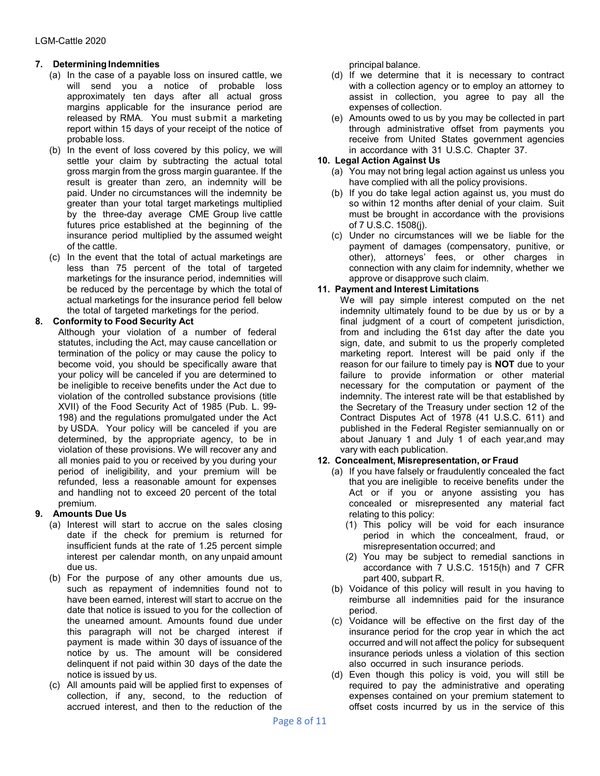## **7. DeterminingIndemnities**

- (a) In the case of a payable loss on insured cattle, we will send you a notice of probable loss approximately ten days after all actual gross margins applicable for the insurance period are released by RMA. You must submit a marketing report within 15 days of your receipt of the notice of probable loss.
- (b) In the event of loss covered by this policy, we will settle your claim by subtracting the actual total gross margin from the gross margin guarantee. If the result is greater than zero, an indemnity will be paid. Under no circumstances will the indemnity be greater than your total target marketings multiplied by the three-day average CME Group live cattle futures price established at the beginning of the insurance period multiplied by the assumed weight of the cattle.
- (c) In the event that the total of actual marketings are less than 75 percent of the total of targeted marketings for the insurance period, indemnities will be reduced by the percentage by which the total of actual marketings for the insurance period fell below the total of targeted marketings for the period.

## **8. Conformity to Food Security Act**

Although your violation of a number of federal statutes, including the Act, may cause cancellation or termination of the policy or may cause the policy to become void, you should be specifically aware that your policy will be canceled if you are determined to be ineligible to receive benefits under the Act due to violation of the controlled substance provisions (title XVII) of the Food Security Act of 1985 (Pub. L. 99- 198) and the regulations promulgated under the Act by USDA. Your policy will be canceled if you are determined, by the appropriate agency, to be in violation of these provisions. We will recover any and all monies paid to you or received by you during your period of ineligibility, and your premium will be refunded, less a reasonable amount for expenses and handling not to exceed 20 percent of the total premium.

## **9. Amounts Due Us**

- (a) Interest will start to accrue on the sales closing date if the check for premium is returned for insufficient funds at the rate of 1.25 percent simple interest per calendar month, on any unpaid amount due us.
- (b) For the purpose of any other amounts due us, such as repayment of indemnities found not to have been earned, interest will start to accrue on the date that notice is issued to you for the collection of the unearned amount. Amounts found due under this paragraph will not be charged interest if payment is made within 30 days of issuance of the notice by us. The amount will be considered delinquent if not paid within 30 days of the date the notice is issued by us.
- (c) All amounts paid will be applied first to expenses of collection, if any, second, to the reduction of accrued interest, and then to the reduction of the

principal balance.

- (d) If we determine that it is necessary to contract with a collection agency or to employ an attorney to assist in collection, you agree to pay all the expenses of collection.
- (e) Amounts owed to us by you may be collected in part through administrative offset from payments you receive from United States government agencies in accordance with 31 U.S.C. Chapter 37.

## **10. Legal Action Against Us**

- (a) You may not bring legal action against us unless you have complied with all the policy provisions.
- (b) If you do take legal action against us, you must do so within 12 months after denial of your claim. Suit must be brought in accordance with the provisions of 7 U.S.C. 1508(j).
- (c) Under no circumstances will we be liable for the payment of damages (compensatory, punitive, or other), attorneys' fees, or other charges in connection with any claim for indemnity, whether we approve or disapprove such claim.

## **11. Payment and Interest Limitations**

We will pay simple interest computed on the net indemnity ultimately found to be due by us or by a final judgment of a court of competent jurisdiction, from and including the 61st day after the date you sign, date, and submit to us the properly completed marketing report. Interest will be paid only if the reason for our failure to timely pay is **NOT** due to your failure to provide information or other material necessary for the computation or payment of the indemnity. The interest rate will be that established by the Secretary of the Treasury under section 12 of the Contract Disputes Act of 1978 (41 U.S.C. 611) and published in the Federal Register semiannually on or about January 1 and July 1 of each year,and may vary with each publication.

## **12. Concealment, Misrepresentation, or Fraud**

- (a) If you have falsely or fraudulently concealed the fact that you are ineligible to receive benefits under the Act or if you or anyone assisting you has concealed or misrepresented any material fact relating to this policy:
	- (1) This policy will be void for each insurance period in which the concealment, fraud, or misrepresentation occurred; and
	- (2) You may be subject to remedial sanctions in accordance with 7 U.S.C. 1515(h) and 7 CFR part 400, subpart R.
- (b) Voidance of this policy will result in you having to reimburse all indemnities paid for the insurance period.
- (c) Voidance will be effective on the first day of the insurance period for the crop year in which the act occurred and will not affect the policy for subsequent insurance periods unless a violation of this section also occurred in such insurance periods.
- (d) Even though this policy is void, you will still be required to pay the administrative and operating expenses contained on your premium statement to offset costs incurred by us in the service of this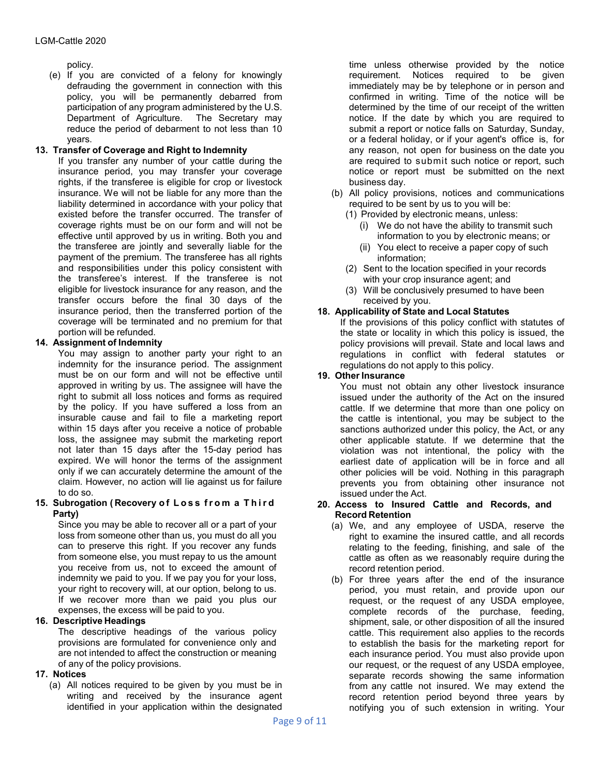policy.

(e) If you are convicted of a felony for knowingly defrauding the government in connection with this policy, you will be permanently debarred from participation of any program administered by the U.S. Department of Agriculture. The Secretary may reduce the period of debarment to not less than 10 years.

#### **13. Transfer of Coverage and Right to Indemnity**

If you transfer any number of your cattle during the insurance period, you may transfer your coverage rights, if the transferee is eligible for crop or livestock insurance. We will not be liable for any more than the liability determined in accordance with your policy that existed before the transfer occurred. The transfer of coverage rights must be on our form and will not be effective until approved by us in writing. Both you and the transferee are jointly and severally liable for the payment of the premium. The transferee has all rights and responsibilities under this policy consistent with the transferee's interest. If the transferee is not eligible for livestock insurance for any reason, and the transfer occurs before the final 30 days of the insurance period, then the transferred portion of the coverage will be terminated and no premium for that portion will be refunded.

## **14. Assignment of Indemnity**

You may assign to another party your right to an indemnity for the insurance period. The assignment must be on our form and will not be effective until approved in writing by us. The assignee will have the right to submit all loss notices and forms as required by the policy. If you have suffered a loss from an insurable cause and fail to file a marketing report within 15 days after you receive a notice of probable loss, the assignee may submit the marketing report not later than 15 days after the 15-day period has expired. We will honor the terms of the assignment only if we can accurately determine the amount of the claim. However, no action will lie against us for failure to do so.

#### **15. Subrogation ( Recovery o f Loss from a Third Party)**

Since you may be able to recover all or a part of your loss from someone other than us, you must do all you can to preserve this right. If you recover any funds from someone else, you must repay to us the amount you receive from us, not to exceed the amount of indemnity we paid to you. If we pay you for your loss, your right to recovery will, at our option, belong to us. If we recover more than we paid you plus our expenses, the excess will be paid to you.

## **16. Descriptive Headings**

The descriptive headings of the various policy provisions are formulated for convenience only and are not intended to affect the construction or meaning of any of the policy provisions.

## **17. Notices**

(a) All notices required to be given by you must be in writing and received by the insurance agent identified in your application within the designated time unless otherwise provided by the notice requirement. Notices required to be given immediately may be by telephone or in person and confirmed in writing. Time of the notice will be determined by the time of our receipt of the written notice. If the date by which you are required to submit a report or notice falls on Saturday, Sunday, or a federal holiday, or if your agent's office is, for any reason, not open for business on the date you are required to submit such notice or report, such notice or report must be submitted on the next business day.

- (b) All policy provisions, notices and communications required to be sent by us to you will be:
	- (1) Provided by electronic means, unless:
		- (i) We do not have the ability to transmit such information to you by electronic means; or
		- (ii) You elect to receive a paper copy of such information;
	- (2) Sent to the location specified in your records with your crop insurance agent; and
	- (3) Will be conclusively presumed to have been received by you.

## **18. Applicability of State and Local Statutes**

If the provisions of this policy conflict with statutes of the state or locality in which this policy is issued, the policy provisions will prevail. State and local laws and regulations in conflict with federal statutes or regulations do not apply to this policy.

#### **19. OtherInsurance**

You must not obtain any other livestock insurance issued under the authority of the Act on the insured cattle. If we determine that more than one policy on the cattle is intentional, you may be subject to the sanctions authorized under this policy, the Act, or any other applicable statute. If we determine that the violation was not intentional, the policy with the earliest date of application will be in force and all other policies will be void. Nothing in this paragraph prevents you from obtaining other insurance not issued under the Act.

#### **20. Access to Insured Cattle and Records, and Record Retention**

- (a) We, and any employee of USDA, reserve the right to examine the insured cattle, and all records relating to the feeding, finishing, and sale of the cattle as often as we reasonably require during the record retention period.
- (b) For three years after the end of the insurance period, you must retain, and provide upon our request, or the request of any USDA employee, complete records of the purchase, feeding, shipment, sale, or other disposition of all the insured cattle. This requirement also applies to the records to establish the basis for the marketing report for each insurance period. You must also provide upon our request, or the request of any USDA employee, separate records showing the same information from any cattle not insured. We may extend the record retention period beyond three years by notifying you of such extension in writing. Your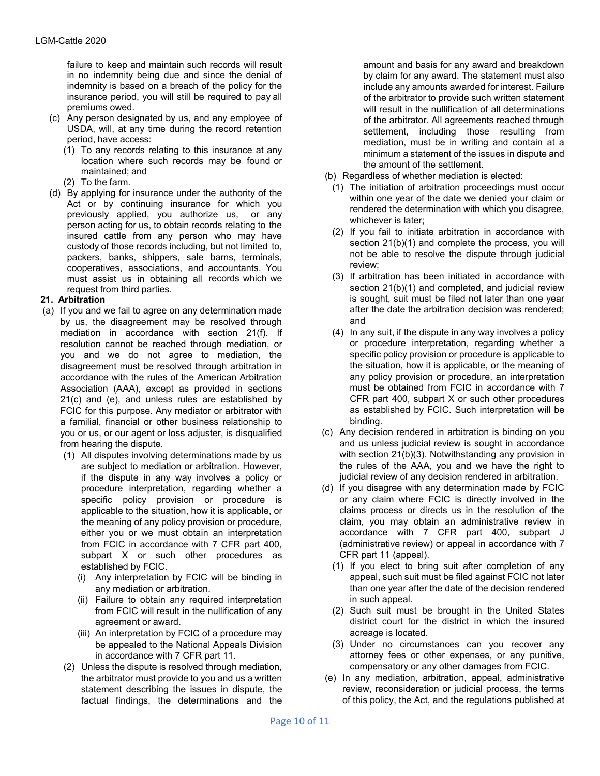failure to keep and maintain such records will result in no indemnity being due and since the denial of indemnity is based on a breach of the policy for the insurance period, you will still be required to pay all premiums owed.

- (c) Any person designated by us, and any employee of USDA, will, at any time during the record retention period, have access:
	- (1) To any records relating to this insurance at any location where such records may be found or maintained; and
	- (2) To the farm.
- (d) By applying for insurance under the authority of the Act or by continuing insurance for which you previously applied, you authorize us, or any person acting for us, to obtain records relating to the insured cattle from any person who may have custody of those records including, but not limited to, packers, banks, shippers, sale barns, terminals, cooperatives, associations, and accountants. You must assist us in obtaining all records which we request from third parties.

## **21. Arbitration**

- (a) If you and we fail to agree on any determination made by us, the disagreement may be resolved through mediation in accordance with section 21(f). If resolution cannot be reached through mediation, or you and we do not agree to mediation, the disagreement must be resolved through arbitration in accordance with the rules of the American Arbitration Association (AAA), except as provided in sections 21(c) and (e), and unless rules are established by FCIC for this purpose. Any mediator or arbitrator with a familial, financial or other business relationship to you or us, or our agent or loss adjuster, is disqualified from hearing the dispute.
	- (1) All disputes involving determinations made by us are subject to mediation or arbitration. However, if the dispute in any way involves a policy or procedure interpretation, regarding whether a specific policy provision or procedure is applicable to the situation, how it is applicable, or the meaning of any policy provision or procedure, either you or we must obtain an interpretation from FCIC in accordance with 7 CFR part 400, subpart X or such other procedures as established by FCIC.
		- (i) Any interpretation by FCIC will be binding in any mediation or arbitration.
		- (ii) Failure to obtain any required interpretation from FCIC will result in the nullification of any agreement or award.
		- (iii) An interpretation by FCIC of a procedure may be appealed to the National Appeals Division in accordance with 7 CFR part 11.
	- (2) Unless the dispute is resolved through mediation, the arbitrator must provide to you and us a written statement describing the issues in dispute, the factual findings, the determinations and the

amount and basis for any award and breakdown by claim for any award. The statement must also include any amounts awarded for interest. Failure of the arbitrator to provide such written statement will result in the nullification of all determinations of the arbitrator. All agreements reached through settlement, including those resulting from mediation, must be in writing and contain at a minimum a statement of the issues in dispute and the amount of the settlement.

- (b) Regardless of whether mediation is elected:
	- (1) The initiation of arbitration proceedings must occur within one year of the date we denied your claim or rendered the determination with which you disagree, whichever is later;
	- (2) If you fail to initiate arbitration in accordance with section 21(b)(1) and complete the process, you will not be able to resolve the dispute through judicial review;
	- (3) If arbitration has been initiated in accordance with section 21(b)(1) and completed, and judicial review is sought, suit must be filed not later than one year after the date the arbitration decision was rendered; and
	- (4) In any suit, if the dispute in any way involves a policy or procedure interpretation, regarding whether a specific policy provision or procedure is applicable to the situation, how it is applicable, or the meaning of any policy provision or procedure, an interpretation must be obtained from FCIC in accordance with 7 CFR part 400, subpart X or such other procedures as established by FCIC. Such interpretation will be binding.
- (c) Any decision rendered in arbitration is binding on you and us unless judicial review is sought in accordance with section 21(b)(3). Notwithstanding any provision in the rules of the AAA, you and we have the right to judicial review of any decision rendered in arbitration.
- (d) If you disagree with any determination made by FCIC or any claim where FCIC is directly involved in the claims process or directs us in the resolution of the claim, you may obtain an administrative review in accordance with 7 CFR part 400, subpart J (administrative review) or appeal in accordance with 7 CFR part 11 (appeal).
	- (1) If you elect to bring suit after completion of any appeal, such suit must be filed against FCIC not later than one year after the date of the decision rendered in such appeal.
	- (2) Such suit must be brought in the United States district court for the district in which the insured acreage is located.
	- (3) Under no circumstances can you recover any attorney fees or other expenses, or any punitive, compensatory or any other damages from FCIC.
- (e) In any mediation, arbitration, appeal, administrative review, reconsideration or judicial process, the terms of this policy, the Act, and the regulations published at